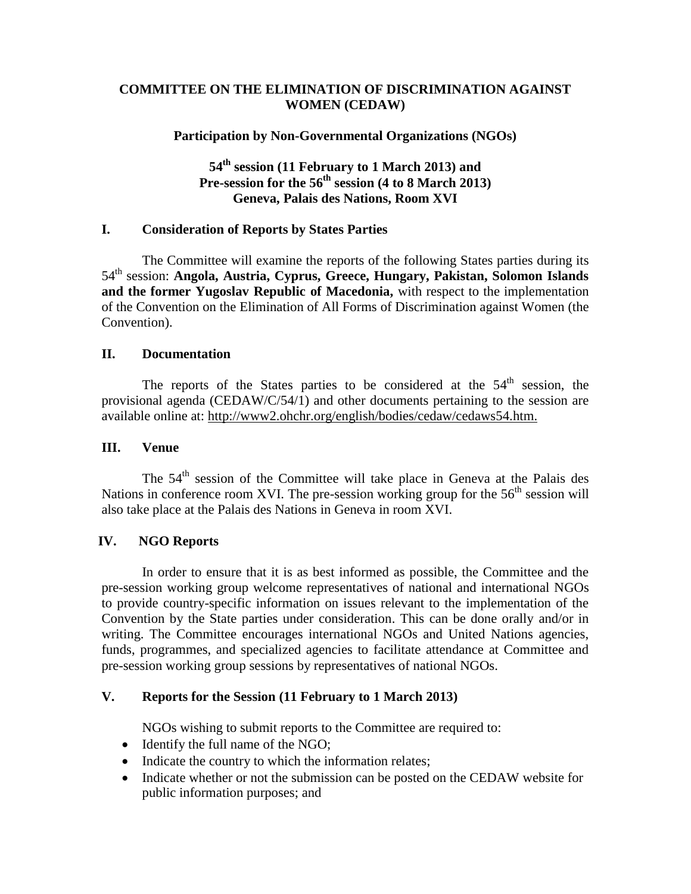## **COMMITTEE ON THE ELIMINATION OF DISCRIMINATION AGAINST WOMEN (CEDAW)**

## **Participation by Non-Governmental Organizations (NGOs)**

# **54 th session (11 February to 1 March 2013) and Pre-session for the 56 th session (4 to 8 March 2013) Geneva, Palais des Nations, Room XVI**

## **I. Consideration of Reports by States Parties**

The Committee will examine the reports of the following States parties during its 54 th session: **Angola, Austria, Cyprus, Greece, Hungary, Pakistan, Solomon Islands and the former Yugoslav Republic of Macedonia,** with respect to the implementation of the Convention on the Elimination of All Forms of Discrimination against Women (the Convention).

## **II. Documentation**

The reports of the States parties to be considered at the  $54<sup>th</sup>$  session, the provisional agenda (CEDAW/C/54/1) and other documents pertaining to the session are available online at: http://www2.ohchr.org/english/bodies/cedaw/cedaws54.htm.

## **III. Venue**

The 54<sup>th</sup> session of the Committee will take place in Geneva at the Palais des Nations in conference room XVI. The pre-session working group for the  $56<sup>th</sup>$  session will also take place at the Palais des Nations in Geneva in room XVI.

# **IV. NGO Reports**

In order to ensure that it is as best informed as possible, the Committee and the pre-session working group welcome representatives of national and international NGOs to provide country-specific information on issues relevant to the implementation of the Convention by the State parties under consideration. This can be done orally and/or in writing. The Committee encourages international NGOs and United Nations agencies, funds, programmes, and specialized agencies to facilitate attendance at Committee and pre-session working group sessions by representatives of national NGOs.

### **V. Reports for the Session (11 February to 1 March 2013)**

NGOs wishing to submit reports to the Committee are required to:

- Identify the full name of the NGO;
- Indicate the country to which the information relates;
- Indicate whether or not the submission can be posted on the CEDAW website for public information purposes; and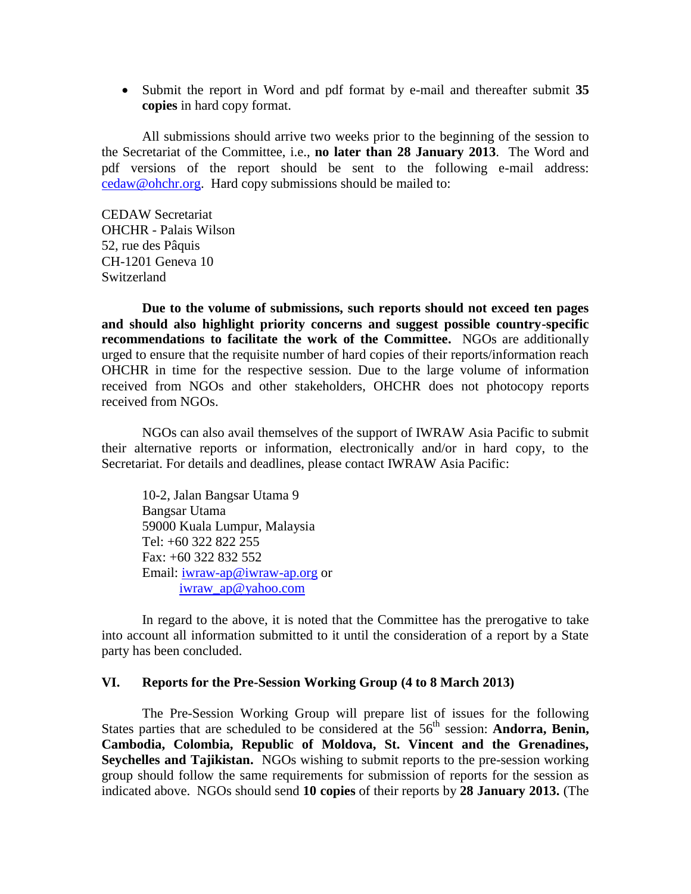Submit the report in Word and pdf format by e-mail and thereafter submit **35 copies** in hard copy format.

All submissions should arrive two weeks prior to the beginning of the session to the Secretariat of the Committee, i.e., **no later than 28 January 2013**. The Word and pdf versions of the report should be sent to the following e-mail address: [cedaw@ohchr.org.](mailto:cedaw@ohchr.org) Hard copy submissions should be mailed to:

CEDAW Secretariat OHCHR - Palais Wilson 52, rue des Pâquis CH-1201 Geneva 10 Switzerland

**Due to the volume of submissions, such reports should not exceed ten pages and should also highlight priority concerns and suggest possible country-specific recommendations to facilitate the work of the Committee.** NGOs are additionally urged to ensure that the requisite number of hard copies of their reports/information reach OHCHR in time for the respective session. Due to the large volume of information received from NGOs and other stakeholders, OHCHR does not photocopy reports received from NGOs.

NGOs can also avail themselves of the support of IWRAW Asia Pacific to submit their alternative reports or information, electronically and/or in hard copy, to the Secretariat. For details and deadlines, please contact IWRAW Asia Pacific:

10-2, Jalan Bangsar Utama 9 Bangsar Utama 59000 Kuala Lumpur, Malaysia Tel: +60 322 822 255 Fax: +60 322 832 552 Email: [iwraw-ap@iwraw-ap.org](mailto:iwraw-ap@iwraw-ap.org) or [iwraw\\_ap@yahoo.com](mailto:iwraw_ap@yahoo.com)

In regard to the above, it is noted that the Committee has the prerogative to take into account all information submitted to it until the consideration of a report by a State party has been concluded.

#### **VI. Reports for the Pre-Session Working Group (4 to 8 March 2013)**

The Pre-Session Working Group will prepare list of issues for the following States parties that are scheduled to be considered at the 56<sup>th</sup> session: **Andorra, Benin, Cambodia, Colombia, Republic of Moldova, St. Vincent and the Grenadines, Seychelles and Tajikistan.** NGOs wishing to submit reports to the pre-session working group should follow the same requirements for submission of reports for the session as indicated above. NGOs should send **10 copies** of their reports by **28 January 2013.** (The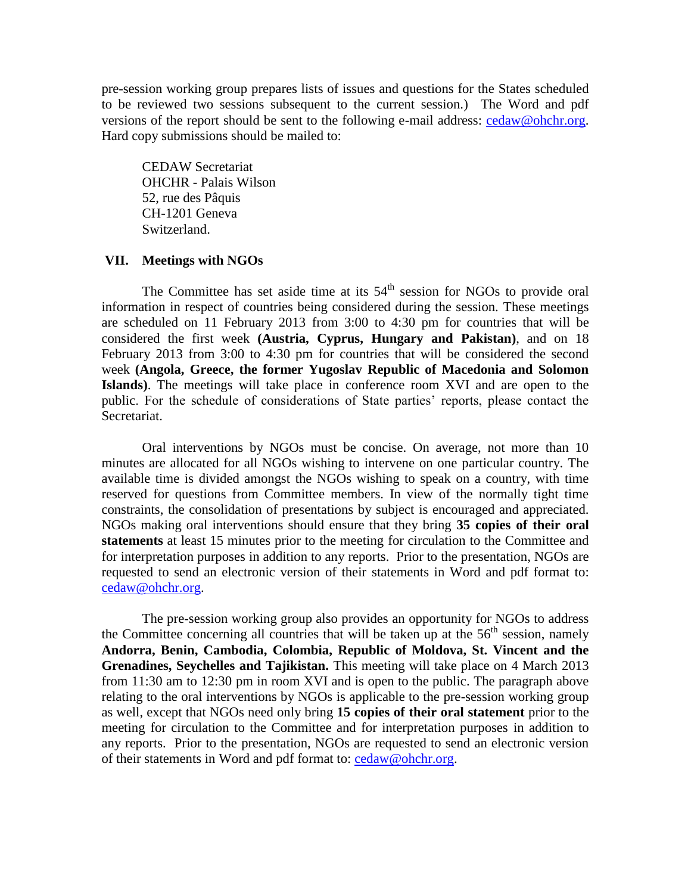pre-session working group prepares lists of issues and questions for the States scheduled to be reviewed two sessions subsequent to the current session.) The Word and pdf versions of the report should be sent to the following e-mail address: [cedaw@ohchr.org.](mailto:cedaw@ohchr.org) Hard copy submissions should be mailed to:

CEDAW Secretariat OHCHR - Palais Wilson 52, rue des Pâquis CH-1201 Geneva Switzerland.

#### **VII. Meetings with NGOs**

The Committee has set aside time at its  $54<sup>th</sup>$  session for NGOs to provide oral information in respect of countries being considered during the session. These meetings are scheduled on 11 February 2013 from 3:00 to 4:30 pm for countries that will be considered the first week **(Austria, Cyprus, Hungary and Pakistan)**, and on 18 February 2013 from 3:00 to 4:30 pm for countries that will be considered the second week **(Angola, Greece, the former Yugoslav Republic of Macedonia and Solomon Islands)**. The meetings will take place in conference room XVI and are open to the public. For the schedule of considerations of State parties' reports, please contact the Secretariat.

Oral interventions by NGOs must be concise. On average, not more than 10 minutes are allocated for all NGOs wishing to intervene on one particular country. The available time is divided amongst the NGOs wishing to speak on a country, with time reserved for questions from Committee members. In view of the normally tight time constraints, the consolidation of presentations by subject is encouraged and appreciated. NGOs making oral interventions should ensure that they bring **35 copies of their oral statements** at least 15 minutes prior to the meeting for circulation to the Committee and for interpretation purposes in addition to any reports. Prior to the presentation, NGOs are requested to send an electronic version of their statements in Word and pdf format to: [cedaw@ohchr.org.](mailto:cedaw@ohchr.org)

The pre-session working group also provides an opportunity for NGOs to address the Committee concerning all countries that will be taken up at the  $56<sup>th</sup>$  session, namely **Andorra, Benin, Cambodia, Colombia, Republic of Moldova, St. Vincent and the Grenadines, Seychelles and Tajikistan.** This meeting will take place on 4 March 2013 from 11:30 am to 12:30 pm in room XVI and is open to the public. The paragraph above relating to the oral interventions by NGOs is applicable to the pre-session working group as well, except that NGOs need only bring **15 copies of their oral statement** prior to the meeting for circulation to the Committee and for interpretation purposes in addition to any reports. Prior to the presentation, NGOs are requested to send an electronic version of their statements in Word and pdf format to: [cedaw@ohchr.org.](mailto:cedaw@ohchr.org)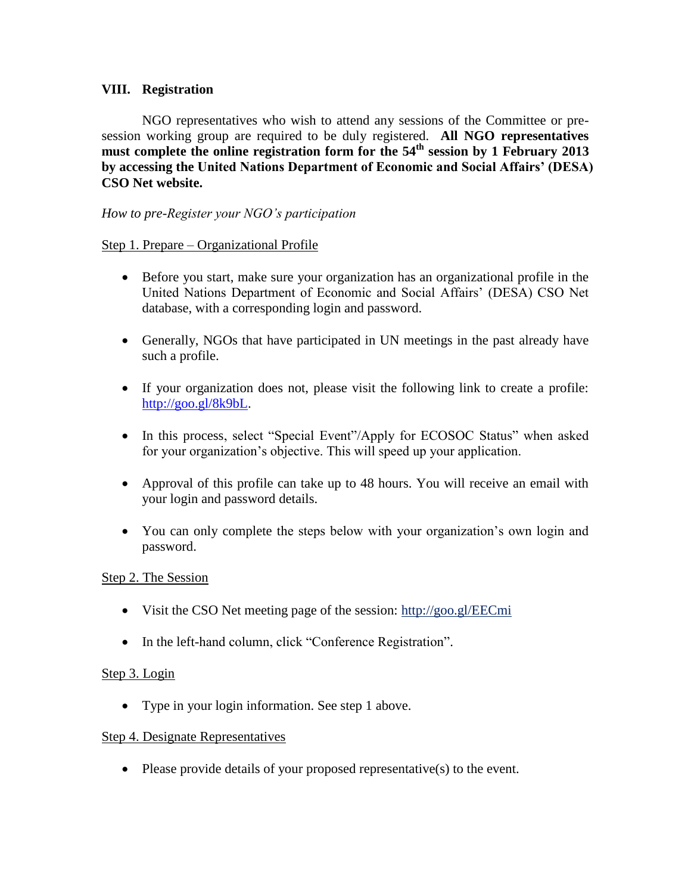# **VIII. Registration**

NGO representatives who wish to attend any sessions of the Committee or presession working group are required to be duly registered. **All NGO representatives must complete the online registration form for the 54th session by 1 February 2013 by accessing the United Nations Department of Economic and Social Affairs' (DESA) CSO Net website.**

## *How to pre-Register your NGO's participation*

### Step 1. Prepare – Organizational Profile

- Before you start, make sure your organization has an organizational profile in the United Nations Department of Economic and Social Affairs' (DESA) CSO Net database, with a corresponding login and password.
- Generally, NGOs that have participated in UN meetings in the past already have such a profile.
- If your organization does not, please visit the following link to create a profile: [http://goo.gl/8k9bL.](http://goo.gl/8k9bL)
- In this process, select "Special Event"/Apply for ECOSOC Status" when asked for your organization's objective. This will speed up your application.
- Approval of this profile can take up to 48 hours. You will receive an email with your login and password details.
- You can only complete the steps below with your organization's own login and password.

### Step 2. The Session

- Visit the CSO Net meeting page of the session: http://goo.gl/EECmi
- In the left-hand column, click "Conference Registration".

### Step 3. Login

• Type in your login information. See step 1 above.

### Step 4. Designate Representatives

• Please provide details of your proposed representative $(s)$  to the event.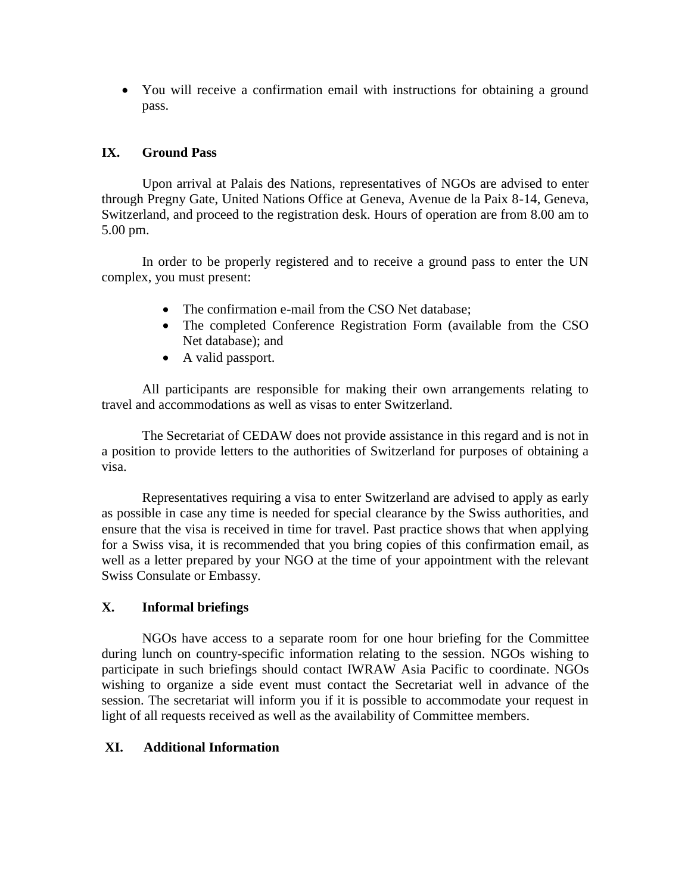You will receive a confirmation email with instructions for obtaining a ground pass.

# **IX. Ground Pass**

Upon arrival at Palais des Nations, representatives of NGOs are advised to enter through Pregny Gate, United Nations Office at Geneva, Avenue de la Paix 8-14, Geneva, Switzerland, and proceed to the registration desk. Hours of operation are from 8.00 am to 5.00 pm.

In order to be properly registered and to receive a ground pass to enter the UN complex, you must present:

- The confirmation e-mail from the CSO Net database;
- The completed Conference Registration Form (available from the CSO Net database); and
- A valid passport.

All participants are responsible for making their own arrangements relating to travel and accommodations as well as visas to enter Switzerland.

The Secretariat of CEDAW does not provide assistance in this regard and is not in a position to provide letters to the authorities of Switzerland for purposes of obtaining a visa.

Representatives requiring a visa to enter Switzerland are advised to apply as early as possible in case any time is needed for special clearance by the Swiss authorities, and ensure that the visa is received in time for travel. Past practice shows that when applying for a Swiss visa, it is recommended that you bring copies of this confirmation email, as well as a letter prepared by your NGO at the time of your appointment with the relevant Swiss Consulate or Embassy.

# **X. Informal briefings**

NGOs have access to a separate room for one hour briefing for the Committee during lunch on country-specific information relating to the session. NGOs wishing to participate in such briefings should contact IWRAW Asia Pacific to coordinate. NGOs wishing to organize a side event must contact the Secretariat well in advance of the session. The secretariat will inform you if it is possible to accommodate your request in light of all requests received as well as the availability of Committee members.

# **XI. Additional Information**